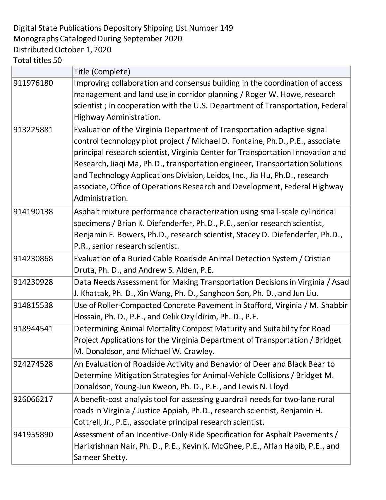Digital State Publications Depository Shipping List Number 149 Monographs Cataloged During September 2020 Distributed October 1, 2020 Total titles 50

|           | Title (Complete)                                                                                                                                                                                                                                                                                                                                                                                                                                                                                            |
|-----------|-------------------------------------------------------------------------------------------------------------------------------------------------------------------------------------------------------------------------------------------------------------------------------------------------------------------------------------------------------------------------------------------------------------------------------------------------------------------------------------------------------------|
| 911976180 | Improving collaboration and consensus building in the coordination of access<br>management and land use in corridor planning / Roger W. Howe, research<br>scientist; in cooperation with the U.S. Department of Transportation, Federal<br>Highway Administration.                                                                                                                                                                                                                                          |
| 913225881 | Evaluation of the Virginia Department of Transportation adaptive signal<br>control technology pilot project / Michael D. Fontaine, Ph.D., P.E., associate<br>principal research scientist, Virginia Center for Transportation Innovation and<br>Research, Jiaqi Ma, Ph.D., transportation engineer, Transportation Solutions<br>and Technology Applications Division, Leidos, Inc., Jia Hu, Ph.D., research<br>associate, Office of Operations Research and Development, Federal Highway<br>Administration. |
| 914190138 | Asphalt mixture performance characterization using small-scale cylindrical<br>specimens / Brian K. Diefenderfer, Ph.D., P.E., senior research scientist,<br>Benjamin F. Bowers, Ph.D., research scientist, Stacey D. Diefenderfer, Ph.D.,<br>P.R., senior research scientist.                                                                                                                                                                                                                               |
| 914230868 | Evaluation of a Buried Cable Roadside Animal Detection System / Cristian<br>Druta, Ph. D., and Andrew S. Alden, P.E.                                                                                                                                                                                                                                                                                                                                                                                        |
| 914230928 | Data Needs Assessment for Making Transportation Decisions in Virginia / Asad<br>J. Khattak, Ph. D., Xin Wang, Ph. D., Sanghoon Son, Ph. D., and Jun Liu.                                                                                                                                                                                                                                                                                                                                                    |
| 914815538 | Use of Roller-Compacted Concrete Pavement in Stafford, Virginia / M. Shabbir<br>Hossain, Ph. D., P.E., and Celik Ozyildirim, Ph. D., P.E.                                                                                                                                                                                                                                                                                                                                                                   |
| 918944541 | Determining Animal Mortality Compost Maturity and Suitability for Road<br>Project Applications for the Virginia Department of Transportation / Bridget<br>M. Donaldson, and Michael W. Crawley.                                                                                                                                                                                                                                                                                                             |
| 924274528 | An Evaluation of Roadside Activity and Behavior of Deer and Black Bear to<br>Determine Mitigation Strategies for Animal-Vehicle Collisions / Bridget M.<br>Donaldson, Young-Jun Kweon, Ph. D., P.E., and Lewis N. Lloyd.                                                                                                                                                                                                                                                                                    |
| 926066217 | A benefit-cost analysis tool for assessing guardrail needs for two-lane rural<br>roads in Virginia / Justice Appiah, Ph.D., research scientist, Renjamin H.<br>Cottrell, Jr., P.E., associate principal research scientist.                                                                                                                                                                                                                                                                                 |
| 941955890 | Assessment of an Incentive-Only Ride Specification for Asphalt Pavements /<br>Harikrishnan Nair, Ph. D., P.E., Kevin K. McGhee, P.E., Affan Habib, P.E., and<br>Sameer Shetty.                                                                                                                                                                                                                                                                                                                              |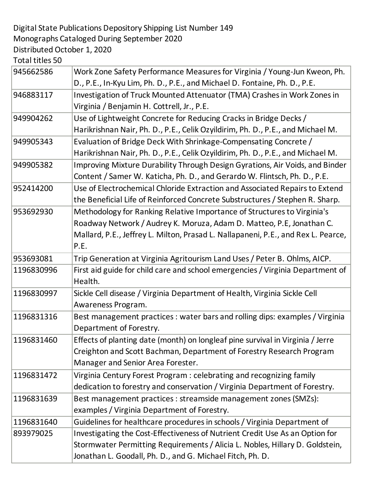## Digital State Publications Depository Shipping List Number 149 Monographs Cataloged During September 2020 Distributed October 1, 2020

Total titles 50

| 945662586  | Work Zone Safety Performance Measures for Virginia / Young-Jun Kweon, Ph.         |
|------------|-----------------------------------------------------------------------------------|
|            | D., P.E., In-Kyu Lim, Ph. D., P.E., and Michael D. Fontaine, Ph. D., P.E.         |
| 946883117  | Investigation of Truck Mounted Attenuator (TMA) Crashes in Work Zones in          |
|            | Virginia / Benjamin H. Cottrell, Jr., P.E.                                        |
| 949904262  | Use of Lightweight Concrete for Reducing Cracks in Bridge Decks /                 |
|            | Harikrishnan Nair, Ph. D., P.E., Celik Ozyildirim, Ph. D., P.E., and Michael M.   |
| 949905343  | Evaluation of Bridge Deck With Shrinkage-Compensating Concrete /                  |
|            | Harikrishnan Nair, Ph. D., P.E., Celik Ozyildirim, Ph. D., P.E., and Michael M.   |
| 949905382  | Improving Mixture Durability Through Design Gyrations, Air Voids, and Binder      |
|            | Content / Samer W. Katicha, Ph. D., and Gerardo W. Flintsch, Ph. D., P.E.         |
| 952414200  | Use of Electrochemical Chloride Extraction and Associated Repairs to Extend       |
|            | the Beneficial Life of Reinforced Concrete Substructures / Stephen R. Sharp.      |
| 953692930  | Methodology for Ranking Relative Importance of Structures to Virginia's           |
|            | Roadway Network / Audrey K. Moruza, Adam D. Matteo, P.E, Jonathan C.              |
|            | Mallard, P.E., Jeffrey L. Milton, Prasad L. Nallapaneni, P.E., and Rex L. Pearce, |
|            | P.E.                                                                              |
| 953693081  | Trip Generation at Virginia Agritourism Land Uses / Peter B. Ohlms, AICP.         |
| 1196830996 | First aid guide for child care and school emergencies / Virginia Department of    |
|            | Health.                                                                           |
| 1196830997 | Sickle Cell disease / Virginia Department of Health, Virginia Sickle Cell         |
|            | Awareness Program.                                                                |
| 1196831316 | Best management practices : water bars and rolling dips: examples / Virginia      |
|            | Department of Forestry.                                                           |
| 1196831460 | Effects of planting date (month) on longleaf pine survival in Virginia / Jerre    |
|            | Creighton and Scott Bachman, Department of Forestry Research Program              |
|            | Manager and Senior Area Forester.                                                 |
| 1196831472 | Virginia Century Forest Program: celebrating and recognizing family               |
|            | dedication to forestry and conservation / Virginia Department of Forestry.        |
| 1196831639 | Best management practices : streamside management zones (SMZs):                   |
|            | examples / Virginia Department of Forestry.                                       |
| 1196831640 | Guidelines for healthcare procedures in schools / Virginia Department of          |
| 893979025  | Investigating the Cost-Effectiveness of Nutrient Credit Use As an Option for      |
|            | Stormwater Permitting Requirements / Alicia L. Nobles, Hillary D. Goldstein,      |
|            | Jonathan L. Goodall, Ph. D., and G. Michael Fitch, Ph. D.                         |
|            |                                                                                   |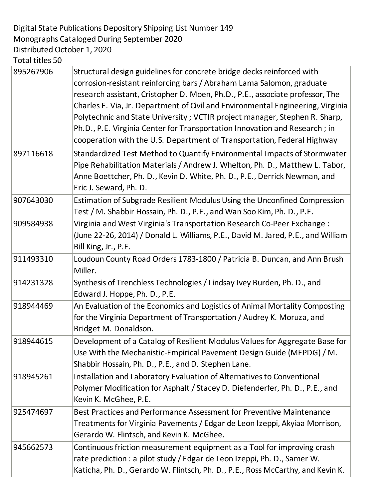Digital State Publications Depository Shipping List Number 149 Monographs Cataloged During September 2020 Distributed October 1, 2020

Total titles 50

| 895267906 | Structural design guidelines for concrete bridge decks reinforced with<br>corrosion-resistant reinforcing bars / Abraham Lama Salomon, graduate<br>research assistant, Cristopher D. Moen, Ph.D., P.E., associate professor, The<br>Charles E. Via, Jr. Department of Civil and Environmental Engineering, Virginia<br>Polytechnic and State University; VCTIR project manager, Stephen R. Sharp,<br>Ph.D., P.E. Virginia Center for Transportation Innovation and Research; in<br>cooperation with the U.S. Department of Transportation, Federal Highway |
|-----------|------------------------------------------------------------------------------------------------------------------------------------------------------------------------------------------------------------------------------------------------------------------------------------------------------------------------------------------------------------------------------------------------------------------------------------------------------------------------------------------------------------------------------------------------------------|
| 897116618 | Standardized Test Method to Quantify Environmental Impacts of Stormwater<br>Pipe Rehabilitation Materials / Andrew J. Whelton, Ph. D., Matthew L. Tabor,<br>Anne Boettcher, Ph. D., Kevin D. White, Ph. D., P.E., Derrick Newman, and<br>Eric J. Seward, Ph. D.                                                                                                                                                                                                                                                                                            |
| 907643030 | Estimation of Subgrade Resilient Modulus Using the Unconfined Compression<br>Test / M. Shabbir Hossain, Ph. D., P.E., and Wan Soo Kim, Ph. D., P.E.                                                                                                                                                                                                                                                                                                                                                                                                        |
| 909584938 | Virginia and West Virginia's Transportation Research Co-Peer Exchange :<br>(June 22-26, 2014) / Donald L. Williams, P.E., David M. Jared, P.E., and William<br>Bill King, Jr., P.E.                                                                                                                                                                                                                                                                                                                                                                        |
| 911493310 | Loudoun County Road Orders 1783-1800 / Patricia B. Duncan, and Ann Brush<br>Miller.                                                                                                                                                                                                                                                                                                                                                                                                                                                                        |
| 914231328 | Synthesis of Trenchless Technologies / Lindsay Ivey Burden, Ph. D., and<br>Edward J. Hoppe, Ph. D., P.E.                                                                                                                                                                                                                                                                                                                                                                                                                                                   |
| 918944469 | An Evaluation of the Economics and Logistics of Animal Mortality Composting<br>for the Virginia Department of Transportation / Audrey K. Moruza, and<br>Bridget M. Donaldson.                                                                                                                                                                                                                                                                                                                                                                              |
| 918944615 | Development of a Catalog of Resilient Modulus Values for Aggregate Base for<br>Use With the Mechanistic-Empirical Pavement Design Guide (MEPDG) / M.<br>Shabbir Hossain, Ph. D., P.E., and D. Stephen Lane.                                                                                                                                                                                                                                                                                                                                                |
| 918945261 | Installation and Laboratory Evaluation of Alternatives to Conventional<br>Polymer Modification for Asphalt / Stacey D. Diefenderfer, Ph. D., P.E., and<br>Kevin K. McGhee, P.E.                                                                                                                                                                                                                                                                                                                                                                            |
| 925474697 | Best Practices and Performance Assessment for Preventive Maintenance<br>Treatments for Virginia Pavements / Edgar de Leon Izeppi, Akyiaa Morrison,<br>Gerardo W. Flintsch, and Kevin K. McGhee.                                                                                                                                                                                                                                                                                                                                                            |
| 945662573 | Continuous friction measurement equipment as a Tool for improving crash<br>rate prediction : a pilot study / Edgar de Leon Izeppi, Ph. D., Samer W.<br>Katicha, Ph. D., Gerardo W. Flintsch, Ph. D., P.E., Ross McCarthy, and Kevin K.                                                                                                                                                                                                                                                                                                                     |